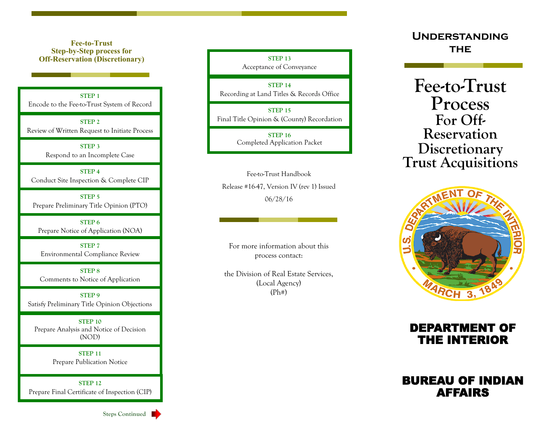**Fee-to-Trust Step-by-Step process for Off-Reservation (Discretionary)**

**STEP 1** Encode to the Fee-to-Trust System of Record

**STEP 2** Review of Written Request to Initiate Process

> **STEP 3** Respond to an Incomplete Case

**STEP 4** Conduct Site Inspection & Complete CIP

**STEP 5** Prepare Preliminary Title Opinion (PTO)

**STEP 6** Prepare Notice of Application (NOA)

**STEP 7** Environmental Compliance Review

**STEP 8** Comments to Notice of Application

**STEP 9** Satisfy Preliminary Title Opinion Objections

**STEP 10** Prepare Analysis and Notice of Decision (NOD)

> **STEP 11** Prepare Publication Notice

**STEP 12** Prepare Final Certificate of Inspection (CIP)

**Steps Continued** 

**STEP 13** Acceptance of Conveyance

**STEP 14** Recording at Land Titles & Records Office

**STEP 15** Final Title Opinion & (County) Recordation

> **STEP 16** Completed Application Packet

Fee-to-Trust Handbook Release #16-47, Version IV (rev 1) Issued 06/28/16

For more information about this process contact:

the Division of Real Estate Services, (Local Agency)  $(Ph#)$ 

**Understanding THE** 

**Fee-to-Trust Process For Off-Reservation Discretionary Trust Acquisitions**



DEPARTMENT OF THE INTERIOR

## BUREAU OF INDIAN AFFAIRS